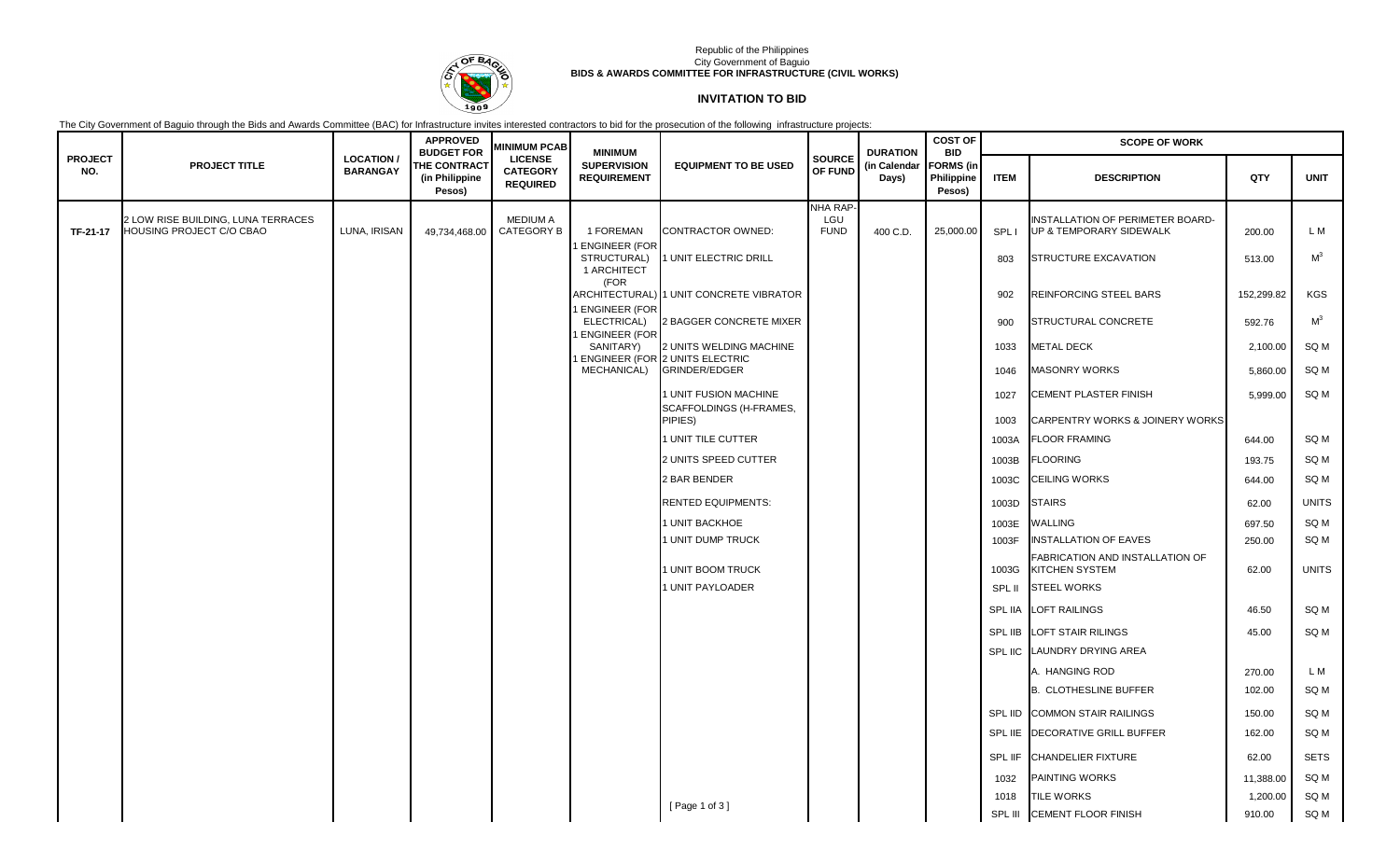

### Republic of the Philippines City Government of Baguio **BIDS & AWARDS COMMITTEE FOR INFRASTRUCTURE (CIVIL WORKS)**

# **INVITATION TO BID**

The City Government of Baguio through the Bids and Awards Committee (BAC) for Infrastructure invites interested contractors to bid for the prosecution of the following infrastructure projects:

|                       |                                                                |                                     | <b>APPROVED</b><br><b>BUDGET FOR</b>            | <b>MINIMUM PCAB</b>                                  | <b>MINIMUM</b>                           |                                                                  |                                | <b>DURATION</b><br>(in Calendar<br>Days) | <b>COST OF</b><br><b>BID</b><br><b>FORMS</b> (in<br>Philippine<br>Pesos) | <b>SCOPE OF WORK</b> |                                                                    |            |                |  |
|-----------------------|----------------------------------------------------------------|-------------------------------------|-------------------------------------------------|------------------------------------------------------|------------------------------------------|------------------------------------------------------------------|--------------------------------|------------------------------------------|--------------------------------------------------------------------------|----------------------|--------------------------------------------------------------------|------------|----------------|--|
| <b>PROJECT</b><br>NO. | <b>PROJECT TITLE</b>                                           | <b>LOCATION/</b><br><b>BARANGAY</b> | <b>THE CONTRACT</b><br>(in Philippine<br>Pesos) | <b>LICENSE</b><br><b>CATEGORY</b><br><b>REQUIRED</b> | <b>SUPERVISION</b><br><b>REQUIREMENT</b> | <b>EQUIPMENT TO BE USED</b>                                      | <b>SOURCE</b><br>OF FUND       |                                          |                                                                          | <b>ITEM</b>          | <b>DESCRIPTION</b>                                                 | QTY        | <b>UNIT</b>    |  |
| TF-21-17              | 2 LOW RISE BUILDING. LUNA TERRACES<br>HOUSING PROJECT C/O CBAO | LUNA, IRISAN                        | 49,734,468.00                                   | <b>MEDIUM A</b><br><b>CATEGORY B</b>                 | 1 FOREMAN<br><b>ENGINEER (FOR</b>        | <b>CONTRACTOR OWNED:</b>                                         | NHA RAP-<br>LGU<br><b>FUND</b> | 400 C.D.                                 | 25,000.00                                                                | SPL I                | <b>INSTALLATION OF PERIMETER BOARD-</b><br>UP & TEMPORARY SIDEWALK | 200.00     | L M            |  |
|                       |                                                                |                                     |                                                 |                                                      | STRUCTURAL)<br>1 ARCHITECT               | 1 UNIT ELECTRIC DRILL                                            |                                |                                          |                                                                          | 803                  | STRUCTURE EXCAVATION                                               | 513.00     | M <sup>3</sup> |  |
|                       |                                                                |                                     |                                                 |                                                      | (FOR<br><b>ENGINEER (FOR</b>             | ARCHITECTURAL) 1 UNIT CONCRETE VIBRATOR                          |                                |                                          |                                                                          | 902                  | REINFORCING STEEL BARS                                             | 152,299.82 | KGS            |  |
|                       |                                                                |                                     |                                                 |                                                      | ELECTRICAL)<br><b>ENGINEER (FOR</b>      | 2 BAGGER CONCRETE MIXER                                          |                                |                                          |                                                                          | 900                  | STRUCTURAL CONCRETE                                                | 592.76     | M <sup>3</sup> |  |
|                       |                                                                |                                     |                                                 |                                                      | SANITARY)                                | 2 UNITS WELDING MACHINE<br><b>ENGINEER (FOR 2 UNITS ELECTRIC</b> |                                |                                          |                                                                          | 1033                 | <b>METAL DECK</b>                                                  | 2,100.00   | SQ M           |  |
|                       |                                                                |                                     |                                                 |                                                      | MECHANICAL)                              | GRINDER/EDGER                                                    |                                |                                          |                                                                          | 1046                 | <b>MASONRY WORKS</b>                                               | 5,860.00   | SQ M           |  |
|                       |                                                                |                                     |                                                 |                                                      |                                          | 1 UNIT FUSION MACHINE<br>SCAFFOLDINGS (H-FRAMES,                 |                                |                                          |                                                                          | 1027                 | CEMENT PLASTER FINISH                                              | 5,999.00   | SQ M           |  |
|                       |                                                                |                                     |                                                 |                                                      |                                          | PIPIES)                                                          |                                |                                          |                                                                          | 1003                 | CARPENTRY WORKS & JOINERY WORKS                                    |            |                |  |
|                       |                                                                |                                     |                                                 |                                                      |                                          | 1 UNIT TILE CUTTER                                               |                                |                                          |                                                                          | 1003A                | <b>FLOOR FRAMING</b>                                               | 644.00     | SQ M           |  |
|                       |                                                                |                                     |                                                 |                                                      |                                          | 2 UNITS SPEED CUTTER                                             |                                |                                          |                                                                          | 1003B                | <b>FLOORING</b>                                                    | 193.75     | SQ M           |  |
|                       |                                                                |                                     |                                                 |                                                      |                                          | 2 BAR BENDER                                                     |                                |                                          |                                                                          | 1003C                | <b>CEILING WORKS</b>                                               | 644.00     | SQ M           |  |
|                       |                                                                |                                     |                                                 |                                                      |                                          | <b>RENTED EQUIPMENTS:</b>                                        |                                |                                          |                                                                          | 1003D                | <b>STAIRS</b>                                                      | 62.00      | <b>UNITS</b>   |  |
|                       |                                                                |                                     |                                                 |                                                      |                                          | 1 UNIT BACKHOE                                                   |                                |                                          |                                                                          | 1003E                | WALLING                                                            | 697.50     | SQ M           |  |
|                       |                                                                |                                     |                                                 |                                                      |                                          | 1 UNIT DUMP TRUCK                                                |                                |                                          |                                                                          | 1003F                | <b>INSTALLATION OF EAVES</b>                                       | 250.00     | SQ M           |  |
|                       |                                                                |                                     |                                                 |                                                      |                                          | 1 UNIT BOOM TRUCK                                                |                                |                                          |                                                                          | 1003G                | FABRICATION AND INSTALLATION OF<br><b>KITCHEN SYSTEM</b>           | 62.00      | <b>UNITS</b>   |  |
|                       |                                                                |                                     |                                                 |                                                      |                                          | 1 UNIT PAYLOADER                                                 |                                |                                          |                                                                          | SPL II               | <b>STEEL WORKS</b>                                                 |            |                |  |
|                       |                                                                |                                     |                                                 |                                                      |                                          |                                                                  |                                |                                          |                                                                          |                      | SPL IIA LOFT RAILINGS                                              | 46.50      | SQ M           |  |
|                       |                                                                |                                     |                                                 |                                                      |                                          |                                                                  |                                |                                          |                                                                          |                      | SPL IIB LOFT STAIR RILINGS                                         | 45.00      | SQ M           |  |
|                       |                                                                |                                     |                                                 |                                                      |                                          |                                                                  |                                |                                          |                                                                          |                      | SPL IIC LAUNDRY DRYING AREA                                        |            |                |  |
|                       |                                                                |                                     |                                                 |                                                      |                                          |                                                                  |                                |                                          |                                                                          |                      | A. HANGING ROD                                                     | 270.00     | L M            |  |
|                       |                                                                |                                     |                                                 |                                                      |                                          |                                                                  |                                |                                          |                                                                          |                      | <b>B. CLOTHESLINE BUFFER</b>                                       | 102.00     | SQ M           |  |
|                       |                                                                |                                     |                                                 |                                                      |                                          |                                                                  |                                |                                          |                                                                          |                      | SPL IID COMMON STAIR RAILINGS                                      | 150.00     | SQ M           |  |
|                       |                                                                |                                     |                                                 |                                                      |                                          |                                                                  |                                |                                          |                                                                          |                      | SPL IIE   DECORATIVE GRILL BUFFER                                  | 162.00     | SQ M           |  |
|                       |                                                                |                                     |                                                 |                                                      |                                          |                                                                  |                                |                                          |                                                                          | SPL IIF              | <b>CHANDELIER FIXTURE</b>                                          | 62.00      | <b>SETS</b>    |  |
|                       |                                                                |                                     |                                                 |                                                      |                                          |                                                                  |                                |                                          |                                                                          | 1032                 | <b>PAINTING WORKS</b>                                              | 11,388.00  | SQ M           |  |
|                       |                                                                |                                     |                                                 |                                                      |                                          | [Page 1 of 3]                                                    |                                |                                          |                                                                          | 1018                 | <b>TILE WORKS</b>                                                  | 1,200.00   | SQ M           |  |
|                       |                                                                |                                     |                                                 |                                                      |                                          |                                                                  |                                |                                          |                                                                          |                      | SPL III CEMENT FLOOR FINISH                                        | 910.00     | SQ M           |  |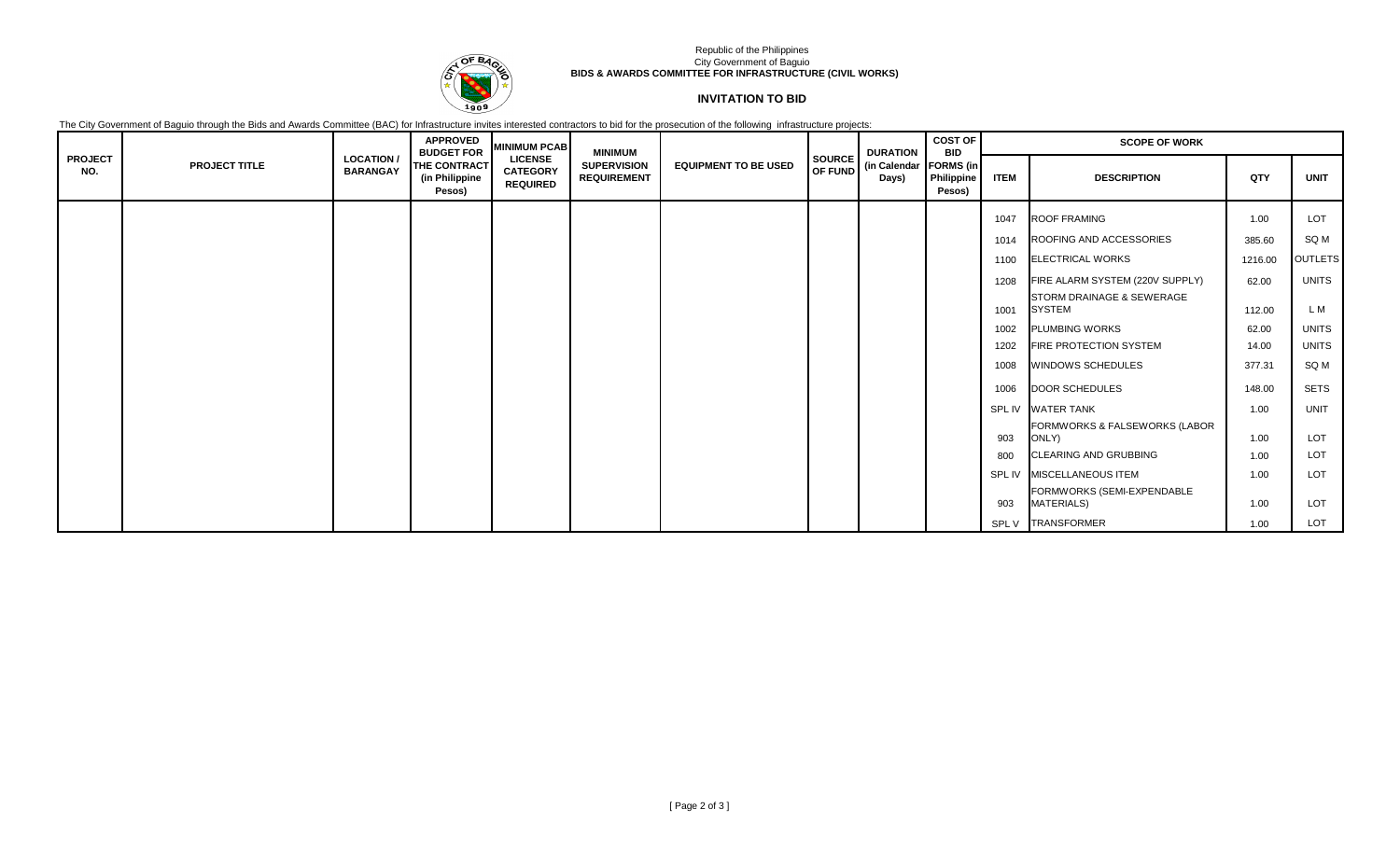

### Republic of the Philippines City Government of Baguio **BIDS & AWARDS COMMITTEE FOR INFRASTRUCTURE (CIVIL WORKS)**

## **INVITATION TO BID**

The City Government of Baguio through the Bids and Awards Committee (BAC) for Infrastructure invites interested contractors to bid for the prosecution of the following infrastructure projects:

|                       |                      |                                     | <b>APPROVED</b><br><b>BUDGET FOR</b>     | <b>MINIMUM PCAB</b>                                  | <b>MINIMUM</b>                           |                             |        | <b>DURATION</b>                         | <b>COST OF</b><br><b>BID</b> | <b>SCOPE OF WORK</b> |                                                       |         |                |  |
|-----------------------|----------------------|-------------------------------------|------------------------------------------|------------------------------------------------------|------------------------------------------|-----------------------------|--------|-----------------------------------------|------------------------------|----------------------|-------------------------------------------------------|---------|----------------|--|
| <b>PROJECT</b><br>NO. | <b>PROJECT TITLE</b> | <b>LOCATION/</b><br><b>BARANGAY</b> | THE CONTRACT<br>(in Philippine<br>Pesos) | <b>LICENSE</b><br><b>CATEGORY</b><br><b>REQUIRED</b> | <b>SUPERVISION</b><br><b>REQUIREMENT</b> | <b>EQUIPMENT TO BE USED</b> | SOURCE | OF FUND (in Calendar FORMS (in<br>Days) | <b>Philippine</b><br>Pesos)  | <b>ITEM</b>          | <b>DESCRIPTION</b>                                    | QTY     | <b>UNIT</b>    |  |
|                       |                      |                                     |                                          |                                                      |                                          |                             |        |                                         |                              | 1047                 | ROOF FRAMING                                          | 1.00    | LOT            |  |
|                       |                      |                                     |                                          |                                                      |                                          |                             |        |                                         |                              | 1014                 | ROOFING AND ACCESSORIES                               | 385.60  | SQ M           |  |
|                       |                      |                                     |                                          |                                                      |                                          |                             |        |                                         |                              | 1100                 | <b>ELECTRICAL WORKS</b>                               | 1216.00 | <b>OUTLETS</b> |  |
|                       |                      |                                     |                                          |                                                      |                                          |                             |        |                                         |                              | 1208                 | FIRE ALARM SYSTEM (220V SUPPLY)                       | 62.00   | <b>UNITS</b>   |  |
|                       |                      |                                     |                                          |                                                      |                                          |                             |        |                                         |                              | 1001                 | <b>STORM DRAINAGE &amp; SEWERAGE</b><br><b>SYSTEM</b> | 112.00  | L M            |  |
|                       |                      |                                     |                                          |                                                      |                                          |                             |        |                                         |                              | 1002                 | <b>PLUMBING WORKS</b>                                 | 62.00   | <b>UNITS</b>   |  |
|                       |                      |                                     |                                          |                                                      |                                          |                             |        |                                         |                              | 1202                 | <b>FIRE PROTECTION SYSTEM</b>                         | 14.00   | <b>UNITS</b>   |  |
|                       |                      |                                     |                                          |                                                      |                                          |                             |        |                                         |                              | 1008                 | WINDOWS SCHEDULES                                     | 377.31  | SQ M           |  |
|                       |                      |                                     |                                          |                                                      |                                          |                             |        |                                         |                              | 1006                 | DOOR SCHEDULES                                        | 148.00  | <b>SETS</b>    |  |
|                       |                      |                                     |                                          |                                                      |                                          |                             |        |                                         |                              |                      | SPL IV WATER TANK                                     | 1.00    | <b>UNIT</b>    |  |
|                       |                      |                                     |                                          |                                                      |                                          |                             |        |                                         |                              | 903                  | FORMWORKS & FALSEWORKS (LABOR<br>ONLY)                | 1.00    | LOT            |  |
|                       |                      |                                     |                                          |                                                      |                                          |                             |        |                                         |                              | 800                  | <b>CLEARING AND GRUBBING</b>                          | 1.00    | LOT            |  |
|                       |                      |                                     |                                          |                                                      |                                          |                             |        |                                         |                              |                      | SPL IV MISCELLANEOUS ITEM                             | 1.00    | LOT            |  |
|                       |                      |                                     |                                          |                                                      |                                          |                             |        |                                         |                              | 903                  | FORMWORKS (SEMI-EXPENDABLE<br><b>MATERIALS)</b>       | 1.00    | LOT            |  |
|                       |                      |                                     |                                          |                                                      |                                          |                             |        |                                         |                              |                      | SPL V TRANSFORMER                                     | 1.00    | LOT            |  |